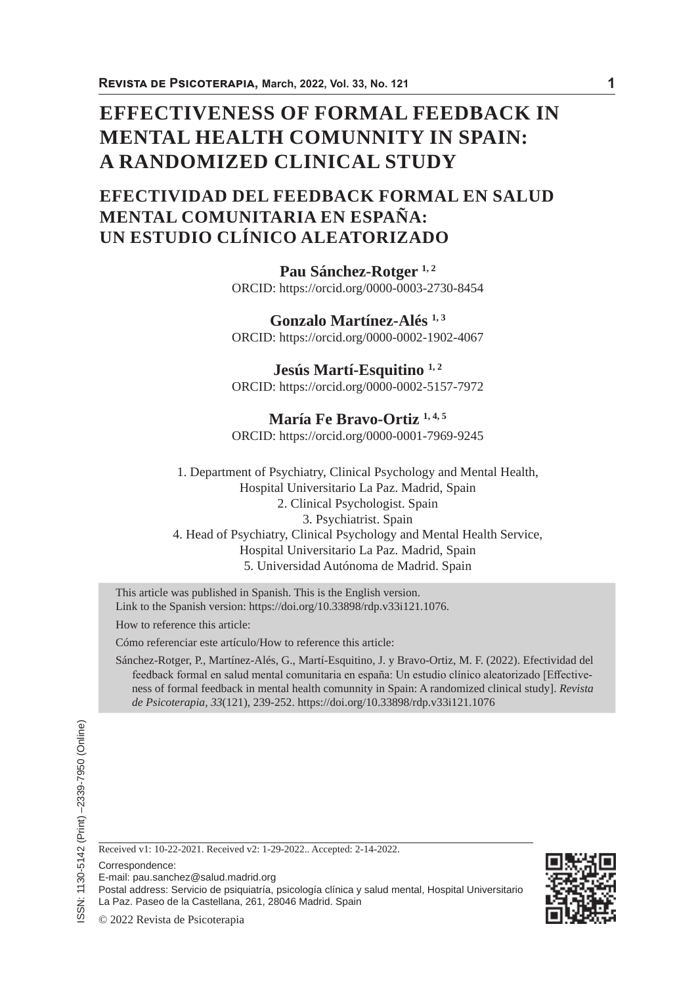# **EFFECTIVENESS OF FORMAL FEEDBACK IN MENTAL HEALTH COMUNNITY IN SPAIN: A RANDOMIZED CLINICAL STUDY**

## **EFECTIVIDAD DEL FEEDBACK FORMAL EN SALUD MENTAL COMUNITARIA EN ESPAÑA: UN ESTUDIO CLÍNICO ALEATORIZADO**

**Pau Sánchez-Rotger 1, 2** ORCID: https://orcid.org/0000-0003-2730-8454

**Gonzalo Martínez-Alés 1, 3** ORCID: https://orcid.org/0000-0002-1902-4067

## Jesús Martí-Esquitino <sup>1, 2</sup>

ORCID: https://orcid.org/0000-0002-5157-7972

## **María Fe Bravo-Ortiz 1, 4, 5**

ORCID: https://orcid.org/0000-0001-7969-9245

1. Department of Psychiatry, Clinical Psychology and Mental Health, Hospital Universitario La Paz. Madrid, Spain 2. Clinical Psychologist. Spain 3. Psychiatrist. Spain 4. Head of Psychiatry, Clinical Psychology and Mental Health Service, Hospital Universitario La Paz. Madrid, Spain 5. Universidad Autónoma de Madrid. Spain

This article was published in Spanish. This is the English version. Link to the Spanish version: https://doi.org/10.33898/rdp.v33i121.1076.

How to reference this article:

Cómo referenciar este artículo/How to reference this article:

Sánchez-Rotger, P., Martínez-Alés, G., Martí-Esquitino, J. y Bravo-Ortiz, M. F. (2022). Efectividad del feedback formal en salud mental comunitaria en españa: Un estudio clínico aleatorizado [Effectiveness of formal feedback in mental health comunnity in Spain: A randomized clinical study]. *Revista de Psicoterapia, 33*(121), 239-252. https://doi.org/10.33898/rdp.v33i121.1076

Received v1: 10-22-2021. Received v2: 1-29-2022.. Accepted: 2-14-2022.

Correspondence:

- E-mail: pau.sanchez@salud.madrid.org
- Postal address: Servicio de psiquiatría, psicología clínica y salud mental, Hospital Universitario

La Paz. Paseo de la Castellana, 261, 28046 Madrid. Spain

© 2022 Revista de Psicoterapia

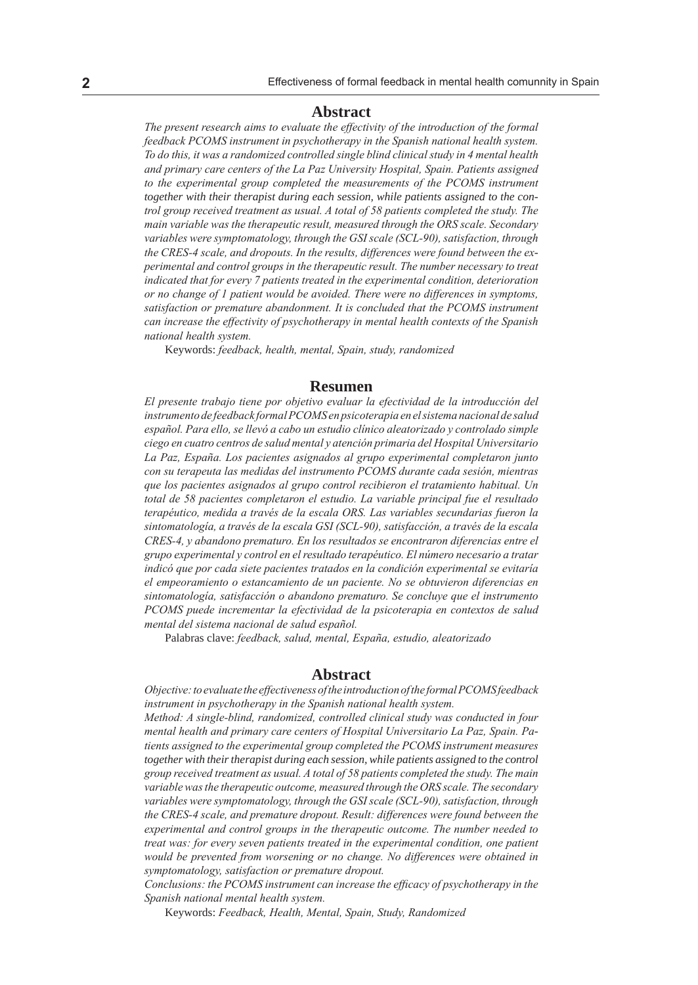#### **Abstract**

*The present research aims to evaluate the effectivity of the introduction of the formal feedback PCOMS instrument in psychotherapy in the Spanish national health system. To do this, it was a randomized controlled single blind clinical study in 4 mental health and primary care centers of the La Paz University Hospital, Spain. Patients assigned*  to the experimental group completed the measurements of the PCOMS instrument *together with their therapist during each session, while patients assigned to the control group received treatment as usual. A total of 58 patients completed the study. The main variable was the therapeutic result, measured through the ORS scale. Secondary variables were symptomatology, through the GSI scale (SCL-90), satisfaction, through the CRES-4 scale, and dropouts. In the results, differences were found between the experimental and control groups in the therapeutic result. The number necessary to treat indicated that for every 7 patients treated in the experimental condition, deterioration or no change of 1 patient would be avoided. There were no differences in symptoms, satisfaction or premature abandonment. It is concluded that the PCOMS instrument can increase the effectivity of psychotherapy in mental health contexts of the Spanish national health system.*

Keywords: *feedback, health, mental, Spain, study, randomized*

#### **Resumen**

*El presente trabajo tiene por objetivo evaluar la efectividad de la introducción del instrumento de feedback formal PCOMS en psicoterapia en el sistema nacional de salud español. Para ello, se llevó a cabo un estudio clínico aleatorizado y controlado simple ciego en cuatro centros de salud mental y atención primaria del Hospital Universitario La Paz, España. Los pacientes asignados al grupo experimental completaron junto con su terapeuta las medidas del instrumento PCOMS durante cada sesión, mientras que los pacientes asignados al grupo control recibieron el tratamiento habitual. Un total de 58 pacientes completaron el estudio. La variable principal fue el resultado terapéutico, medida a través de la escala ORS. Las variables secundarias fueron la sintomatología, a través de la escala GSI (SCL-90), satisfacción, a través de la escala CRES-4, y abandono prematuro. En los resultados se encontraron diferencias entre el grupo experimental y control en el resultado terapéutico. El número necesario a tratar indicó que por cada siete pacientes tratados en la condición experimental se evitaría el empeoramiento o estancamiento de un paciente. No se obtuvieron diferencias en sintomatología, satisfacción o abandono prematuro. Se concluye que el instrumento PCOMS puede incrementar la efectividad de la psicoterapia en contextos de salud mental del sistema nacional de salud español.*

Palabras clave: *feedback, salud, mental, España, estudio, aleatorizado*

#### **Abstract**

*Objective: to evaluate the effectiveness of the introduction of the formal PCOMS feedback instrument in psychotherapy in the Spanish national health system.*

*Method: A single-blind, randomized, controlled clinical study was conducted in four mental health and primary care centers of Hospital Universitario La Paz, Spain. Patients assigned to the experimental group completed the PCOMS instrument measures together with their therapist during each session, while patients assigned to the control group received treatment as usual. A total of 58 patients completed the study. The main variable was the therapeutic outcome, measured through the ORS scale. The secondary variables were symptomatology, through the GSI scale (SCL-90), satisfaction, through the CRES-4 scale, and premature dropout. Result: differences were found between the experimental and control groups in the therapeutic outcome. The number needed to treat was: for every seven patients treated in the experimental condition, one patient would be prevented from worsening or no change. No differences were obtained in symptomatology, satisfaction or premature dropout.*

*Conclusions: the PCOMS instrument can increase the efficacy of psychotherapy in the Spanish national mental health system.*

Keywords: *Feedback, Health, Mental, Spain, Study, Randomized*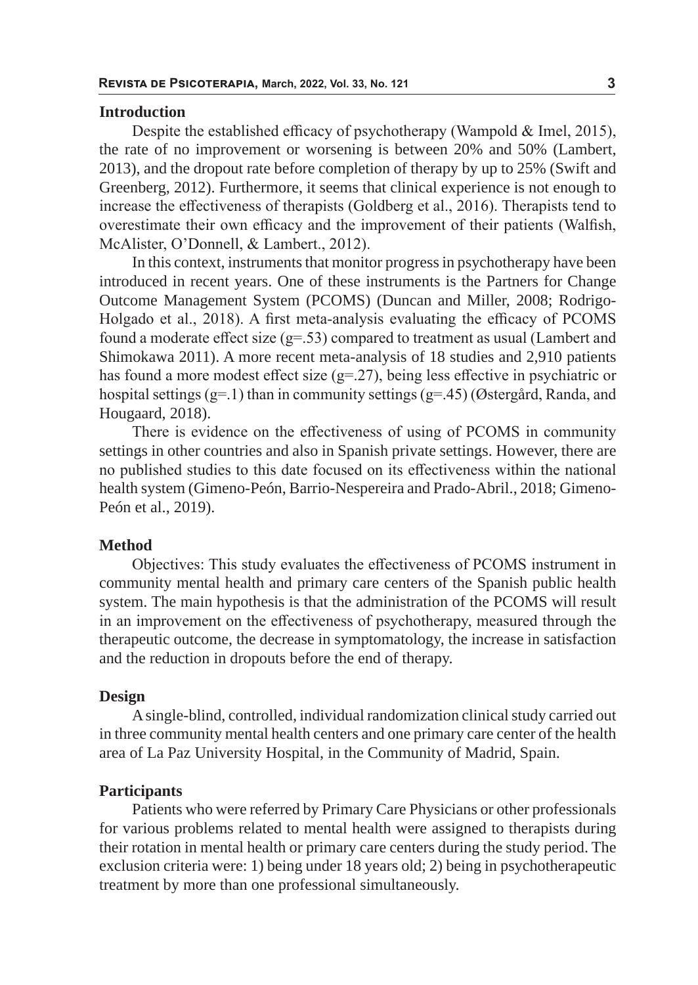#### **Introduction**

Despite the established efficacy of psychotherapy (Wampold & Imel, 2015), the rate of no improvement or worsening is between 20% and 50% (Lambert, 2013), and the dropout rate before completion of therapy by up to 25% (Swift and Greenberg, 2012). Furthermore, it seems that clinical experience is not enough to increase the effectiveness of therapists (Goldberg et al., 2016). Therapists tend to overestimate their own efficacy and the improvement of their patients (Walfish, McAlister, O'Donnell, & Lambert., 2012).

In this context, instruments that monitor progress in psychotherapy have been introduced in recent years. One of these instruments is the Partners for Change Outcome Management System (PCOMS) (Duncan and Miller, 2008; Rodrigo-Holgado et al., 2018). A first meta-analysis evaluating the efficacy of PCOMS found a moderate effect size  $(g=.53)$  compared to treatment as usual (Lambert and Shimokawa 2011). A more recent meta-analysis of 18 studies and 2,910 patients has found a more modest effect size ( $g=27$ ), being less effective in psychiatric or hospital settings (g=.1) than in community settings (g=.45) (Østergård, Randa, and Hougaard, 2018).

There is evidence on the effectiveness of using of PCOMS in community settings in other countries and also in Spanish private settings. However, there are no published studies to this date focused on its effectiveness within the national health system (Gimeno-Peón, Barrio-Nespereira and Prado-Abril., 2018; Gimeno-Peón et al., 2019).

## **Method**

Objectives: This study evaluates the effectiveness of PCOMS instrument in community mental health and primary care centers of the Spanish public health system. The main hypothesis is that the administration of the PCOMS will result in an improvement on the effectiveness of psychotherapy, measured through the therapeutic outcome, the decrease in symptomatology, the increase in satisfaction and the reduction in dropouts before the end of therapy.

## **Design**

A single-blind, controlled, individual randomization clinical study carried out in three community mental health centers and one primary care center of the health area of La Paz University Hospital, in the Community of Madrid, Spain.

## **Participants**

Patients who were referred by Primary Care Physicians or other professionals for various problems related to mental health were assigned to therapists during their rotation in mental health or primary care centers during the study period. The exclusion criteria were: 1) being under 18 years old; 2) being in psychotherapeutic treatment by more than one professional simultaneously.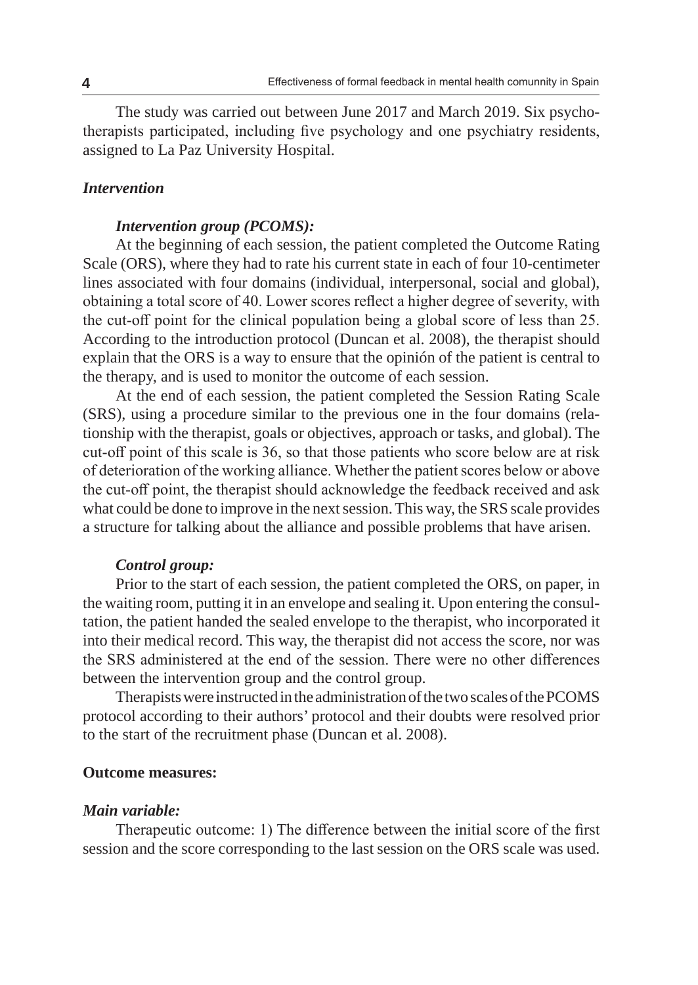The study was carried out between June 2017 and March 2019. Six psychotherapists participated, including five psychology and one psychiatry residents, assigned to La Paz University Hospital.

## *Intervention*

## *Intervention group (PCOMS):*

At the beginning of each session, the patient completed the Outcome Rating Scale (ORS), where they had to rate his current state in each of four 10-centimeter lines associated with four domains (individual, interpersonal, social and global), obtaining a total score of 40. Lower scores reflect a higher degree of severity, with the cut-off point for the clinical population being a global score of less than 25. According to the introduction protocol (Duncan et al. 2008), the therapist should explain that the ORS is a way to ensure that the opinión of the patient is central to the therapy, and is used to monitor the outcome of each session.

At the end of each session, the patient completed the Session Rating Scale (SRS), using a procedure similar to the previous one in the four domains (relationship with the therapist, goals or objectives, approach or tasks, and global). The cut-off point of this scale is 36, so that those patients who score below are at risk of deterioration of the working alliance. Whether the patient scores below or above the cut-off point, the therapist should acknowledge the feedback received and ask what could be done to improve in the next session. This way, the SRS scale provides a structure for talking about the alliance and possible problems that have arisen.

## *Control group:*

Prior to the start of each session, the patient completed the ORS, on paper, in the waiting room, putting it in an envelope and sealing it. Upon entering the consultation, the patient handed the sealed envelope to the therapist, who incorporated it into their medical record. This way, the therapist did not access the score, nor was the SRS administered at the end of the session. There were no other differences between the intervention group and the control group.

Therapists were instructed in the administration of the two scales of the PCOMS protocol according to their authors' protocol and their doubts were resolved prior to the start of the recruitment phase (Duncan et al. 2008).

#### **Outcome measures:**

## *Main variable:*

Therapeutic outcome: 1) The difference between the initial score of the first session and the score corresponding to the last session on the ORS scale was used.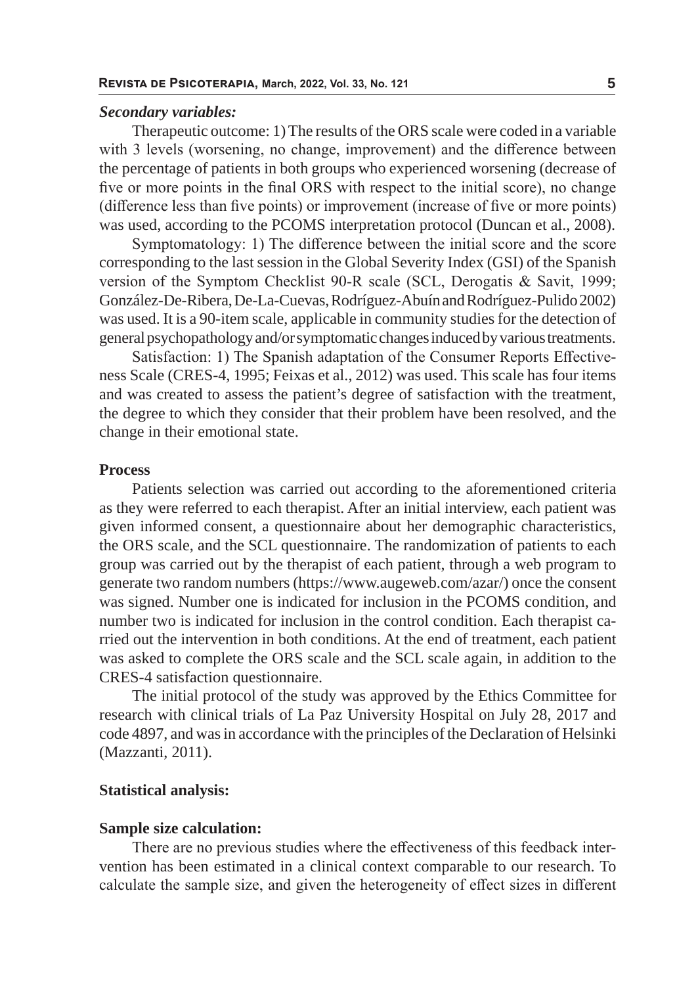#### *Secondary variables:*

Therapeutic outcome: 1) The results of the ORS scale were coded in a variable with 3 levels (worsening, no change, improvement) and the difference between the percentage of patients in both groups who experienced worsening (decrease of five or more points in the final ORS with respect to the initial score), no change (difference less than five points) or improvement (increase of five or more points) was used, according to the PCOMS interpretation protocol (Duncan et al., 2008).

Symptomatology: 1) The difference between the initial score and the score corresponding to the last session in the Global Severity Index (GSI) of the Spanish version of the Symptom Checklist 90-R scale (SCL, Derogatis & Savit, 1999; González-De-Ribera, De-La-Cuevas, Rodríguez-Abuín and Rodríguez-Pulido 2002) was used. It is a 90-item scale, applicable in community studies for the detection of general psychopathology and/or symptomatic changes induced by various treatments.

Satisfaction: 1) The Spanish adaptation of the Consumer Reports Effectiveness Scale (CRES-4, 1995; Feixas et al., 2012) was used. This scale has four items and was created to assess the patient's degree of satisfaction with the treatment, the degree to which they consider that their problem have been resolved, and the change in their emotional state.

## **Process**

Patients selection was carried out according to the aforementioned criteria as they were referred to each therapist. After an initial interview, each patient was given informed consent, a questionnaire about her demographic characteristics, the ORS scale, and the SCL questionnaire. The randomization of patients to each group was carried out by the therapist of each patient, through a web program to generate two random numbers (https://www.augeweb.com/azar/) once the consent was signed. Number one is indicated for inclusion in the PCOMS condition, and number two is indicated for inclusion in the control condition. Each therapist carried out the intervention in both conditions. At the end of treatment, each patient was asked to complete the ORS scale and the SCL scale again, in addition to the CRES-4 satisfaction questionnaire.

The initial protocol of the study was approved by the Ethics Committee for research with clinical trials of La Paz University Hospital on July 28, 2017 and code 4897, and was in accordance with the principles of the Declaration of Helsinki (Mazzanti, 2011).

## **Statistical analysis:**

## **Sample size calculation:**

There are no previous studies where the effectiveness of this feedback intervention has been estimated in a clinical context comparable to our research. To calculate the sample size, and given the heterogeneity of effect sizes in different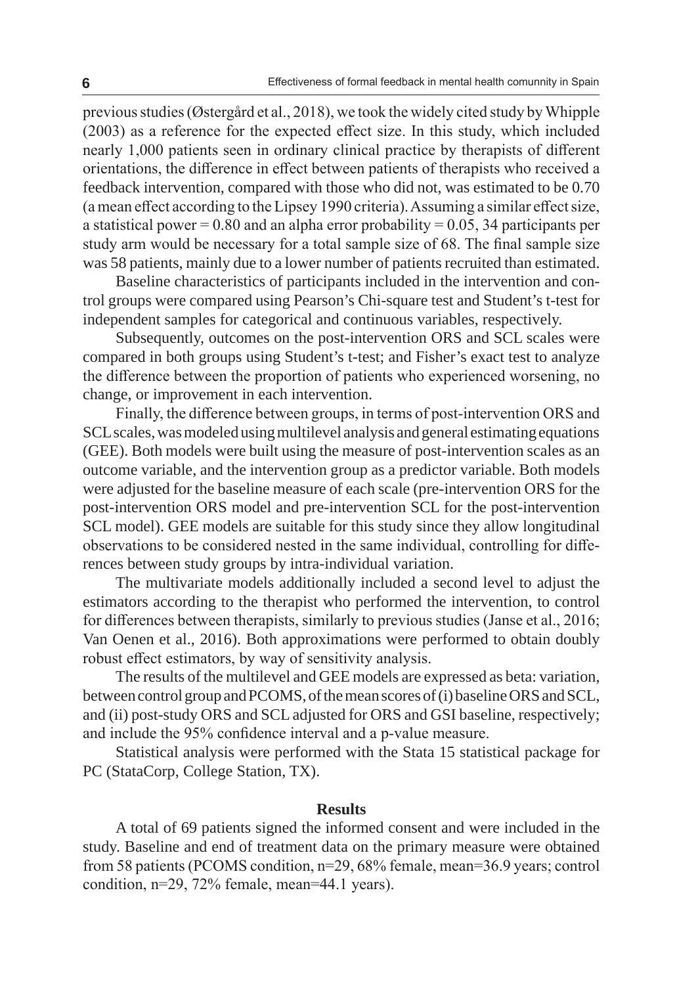previous studies (Østergård et al., 2018), we took the widely cited study by Whipple (2003) as a reference for the expected effect size. In this study, which included nearly 1,000 patients seen in ordinary clinical practice by therapists of different orientations, the difference in effect between patients of therapists who received a feedback intervention, compared with those who did not, was estimated to be 0.70 (a mean effect according to the Lipsey 1990 criteria). Assuming a similar effect size, a statistical power =  $0.80$  and an alpha error probability =  $0.05$ , 34 participants per study arm would be necessary for a total sample size of 68. The final sample size was 58 patients, mainly due to a lower number of patients recruited than estimated.

Baseline characteristics of participants included in the intervention and control groups were compared using Pearson's Chi-square test and Student's t-test for independent samples for categorical and continuous variables, respectively.

Subsequently, outcomes on the post-intervention ORS and SCL scales were compared in both groups using Student's t-test; and Fisher's exact test to analyze the difference between the proportion of patients who experienced worsening, no change, or improvement in each intervention.

Finally, the difference between groups, in terms of post-intervention ORS and SCL scales, was modeled using multilevel analysis and general estimating equations (GEE). Both models were built using the measure of post-intervention scales as an outcome variable, and the intervention group as a predictor variable. Both models were adjusted for the baseline measure of each scale (pre-intervention ORS for the post-intervention ORS model and pre-intervention SCL for the post-intervention SCL model). GEE models are suitable for this study since they allow longitudinal observations to be considered nested in the same individual, controlling for differences between study groups by intra-individual variation.

The multivariate models additionally included a second level to adjust the estimators according to the therapist who performed the intervention, to control for differences between therapists, similarly to previous studies (Janse et al., 2016; Van Oenen et al., 2016). Both approximations were performed to obtain doubly robust effect estimators, by way of sensitivity analysis.

The results of the multilevel and GEE models are expressed as beta: variation, between control group and PCOMS, of the mean scores of (i) baseline ORS and SCL, and (ii) post-study ORS and SCL adjusted for ORS and GSI baseline, respectively; and include the 95% confidence interval and a p-value measure.

Statistical analysis were performed with the Stata 15 statistical package for PC (StataCorp, College Station, TX).

## **Results**

A total of 69 patients signed the informed consent and were included in the study. Baseline and end of treatment data on the primary measure were obtained from 58 patients (PCOMS condition, n=29, 68% female, mean=36.9 years; control condition, n=29, 72% female, mean=44.1 years).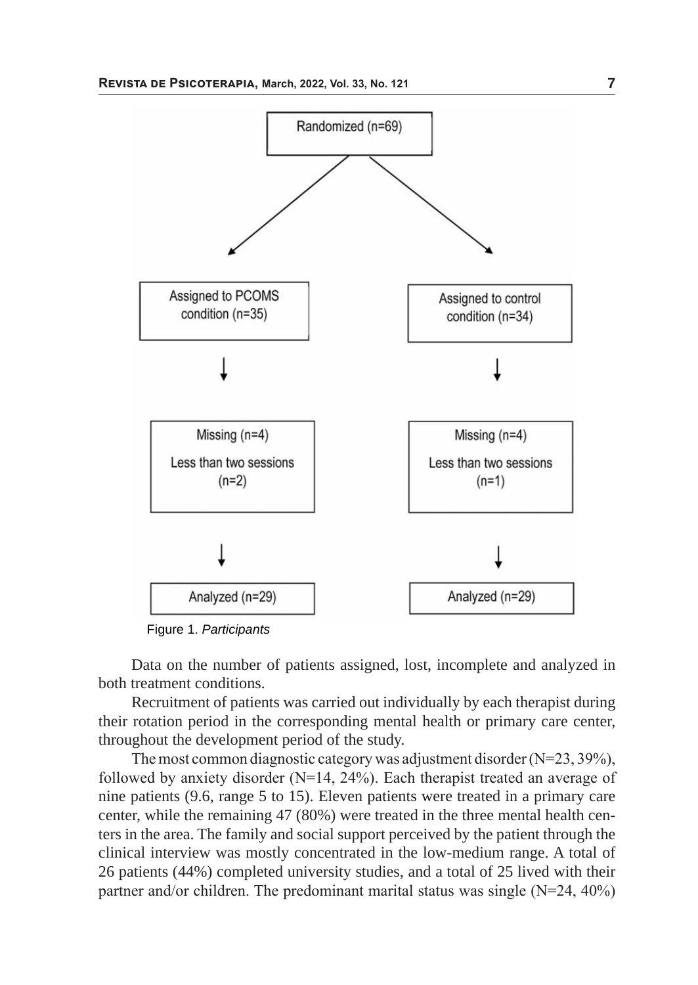

Figure 1. *Participants*

Data on the number of patients assigned, lost, incomplete and analyzed in both treatment conditions.

Recruitment of patients was carried out individually by each therapist during their rotation period in the corresponding mental health or primary care center, throughout the development period of the study.

The most common diagnostic category was adjustment disorder  $(N=23, 39\%)$ , followed by anxiety disorder (N=14, 24%). Each therapist treated an average of nine patients (9.6, range 5 to 15). Eleven patients were treated in a primary care center, while the remaining 47 (80%) were treated in the three mental health centers in the area. The family and social support perceived by the patient through the clinical interview was mostly concentrated in the low-medium range. A total of 26 patients (44%) completed university studies, and a total of 25 lived with their partner and/or children. The predominant marital status was single (N=24, 40%)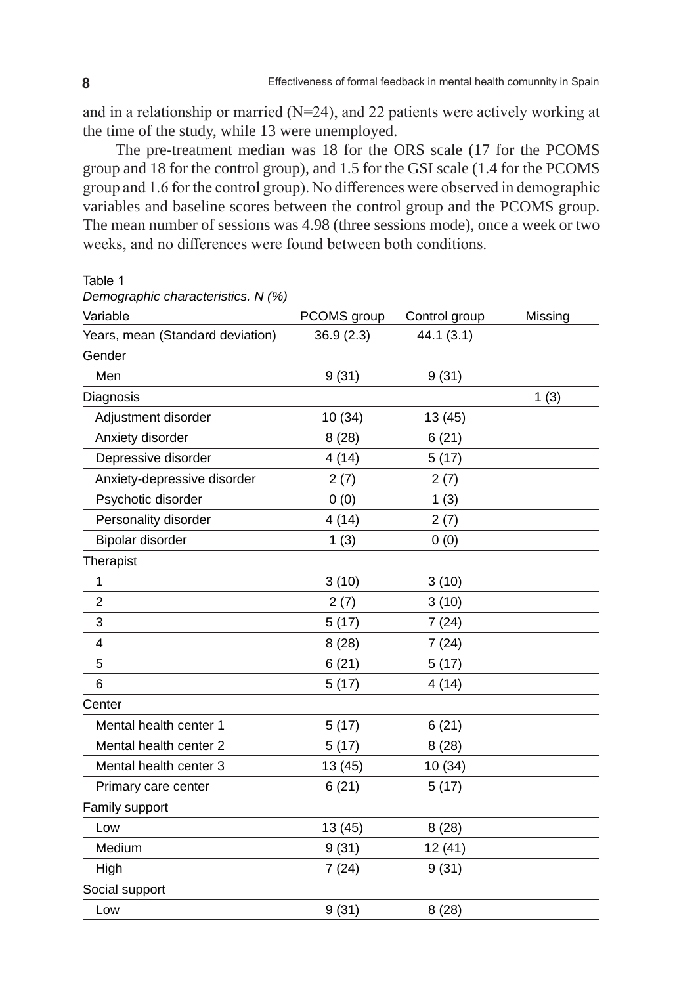and in a relationship or married (N=24), and 22 patients were actively working at the time of the study, while 13 were unemployed.

The pre-treatment median was 18 for the ORS scale (17 for the PCOMS group and 18 for the control group), and 1.5 for the GSI scale (1.4 for the PCOMS group and 1.6 for the control group). No differences were observed in demographic variables and baseline scores between the control group and the PCOMS group. The mean number of sessions was 4.98 (three sessions mode), once a week or two weeks, and no differences were found between both conditions.

| Demographic characteristics. TV (70) |             |               |         |
|--------------------------------------|-------------|---------------|---------|
| Variable                             | PCOMS group | Control group | Missing |
| Years, mean (Standard deviation)     | 36.9(2.3)   | 44.1 (3.1)    |         |
| Gender                               |             |               |         |
| Men                                  | 9(31)       | 9(31)         |         |
| Diagnosis                            |             |               | 1(3)    |
| Adjustment disorder                  | 10 (34)     | 13 (45)       |         |
| Anxiety disorder                     | 8(28)       | 6(21)         |         |
| Depressive disorder                  | 4(14)       | 5(17)         |         |
| Anxiety-depressive disorder          | 2(7)        | 2(7)          |         |
| Psychotic disorder                   | 0(0)        | 1(3)          |         |
| Personality disorder                 | 4(14)       | 2(7)          |         |
| Bipolar disorder                     | 1(3)        | 0(0)          |         |
| Therapist                            |             |               |         |
| 1                                    | 3(10)       | 3(10)         |         |
| $\overline{c}$                       | 2(7)        | 3(10)         |         |
| 3                                    | 5(17)       | 7(24)         |         |
| 4                                    | 8(28)       | 7(24)         |         |
| 5                                    | 6(21)       | 5(17)         |         |
| 6                                    | 5(17)       | 4(14)         |         |
| Center                               |             |               |         |
| Mental health center 1               | 5(17)       | 6(21)         |         |
| Mental health center 2               | 5(17)       | 8(28)         |         |
| Mental health center 3               | 13 (45)     | 10(34)        |         |
| Primary care center                  | 6(21)       | 5(17)         |         |
| Family support                       |             |               |         |
| Low                                  | 13 (45)     | 8(28)         |         |
| Medium                               | 9(31)       | 12(41)        |         |
| High                                 | 7(24)       | 9(31)         |         |
| Social support                       |             |               |         |
| Low                                  | 9(31)       | 8(28)         |         |

*Demographic characteristics. N (%)*

Table 1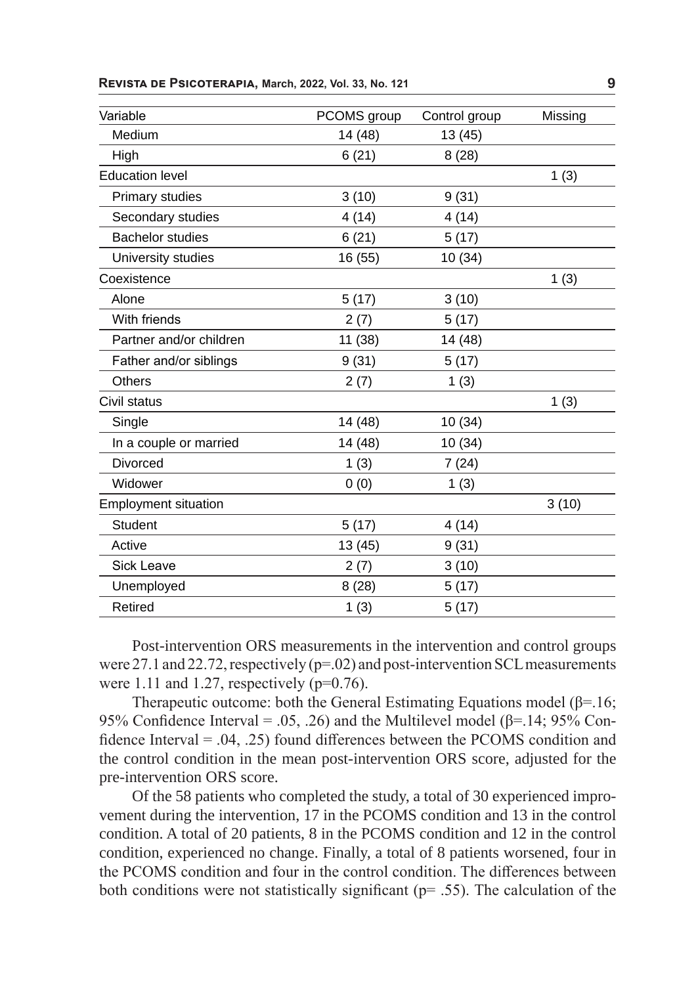| Variable                    | PCOMS group | Control group | Missing |
|-----------------------------|-------------|---------------|---------|
| Medium                      | 14 (48)     | 13(45)        |         |
| High                        | 6(21)       | 8(28)         |         |
| <b>Education level</b>      |             |               | 1(3)    |
| Primary studies             | 3(10)       | 9(31)         |         |
| Secondary studies           | 4 (14)      | 4(14)         |         |
| <b>Bachelor studies</b>     | 6(21)       | 5(17)         |         |
| University studies          | 16 (55)     | 10(34)        |         |
| Coexistence                 |             |               | 1(3)    |
| Alone                       | 5(17)       | 3(10)         |         |
| With friends                | 2(7)        | 5(17)         |         |
| Partner and/or children     | 11 (38)     | 14 (48)       |         |
| Father and/or siblings      | 9(31)       | 5(17)         |         |
| <b>Others</b>               | 2(7)        | 1(3)          |         |
| Civil status                |             |               | 1(3)    |
| Single                      | 14 (48)     | 10(34)        |         |
| In a couple or married      | 14 (48)     | 10(34)        |         |
| Divorced                    | 1(3)        | 7(24)         |         |
| Widower                     | 0(0)        | 1(3)          |         |
| <b>Employment situation</b> |             |               | 3(10)   |
| <b>Student</b>              | 5(17)       | 4(14)         |         |
| Active                      | 13 (45)     | 9(31)         |         |
| <b>Sick Leave</b>           | 2(7)        | 3(10)         |         |
| Unemployed                  | 8(28)       | 5(17)         |         |
| Retired                     | 1(3)        | 5(17)         |         |

Post-intervention ORS measurements in the intervention and control groups were 27.1 and 22.72, respectively ( $p=0.02$ ) and post-intervention SCL measurements were 1.11 and 1.27, respectively  $(p=0.76)$ .

Therapeutic outcome: both the General Estimating Equations model ( $\beta$ =.16; 95% Confidence Interval = .05, .26) and the Multilevel model ( $\beta$ =.14; 95% Confidence Interval = .04, .25) found differences between the PCOMS condition and the control condition in the mean post-intervention ORS score, adjusted for the pre-intervention ORS score.

Of the 58 patients who completed the study, a total of 30 experienced improvement during the intervention, 17 in the PCOMS condition and 13 in the control condition. A total of 20 patients, 8 in the PCOMS condition and 12 in the control condition, experienced no change. Finally, a total of 8 patients worsened, four in the PCOMS condition and four in the control condition. The differences between both conditions were not statistically significant ( $p= .55$ ). The calculation of the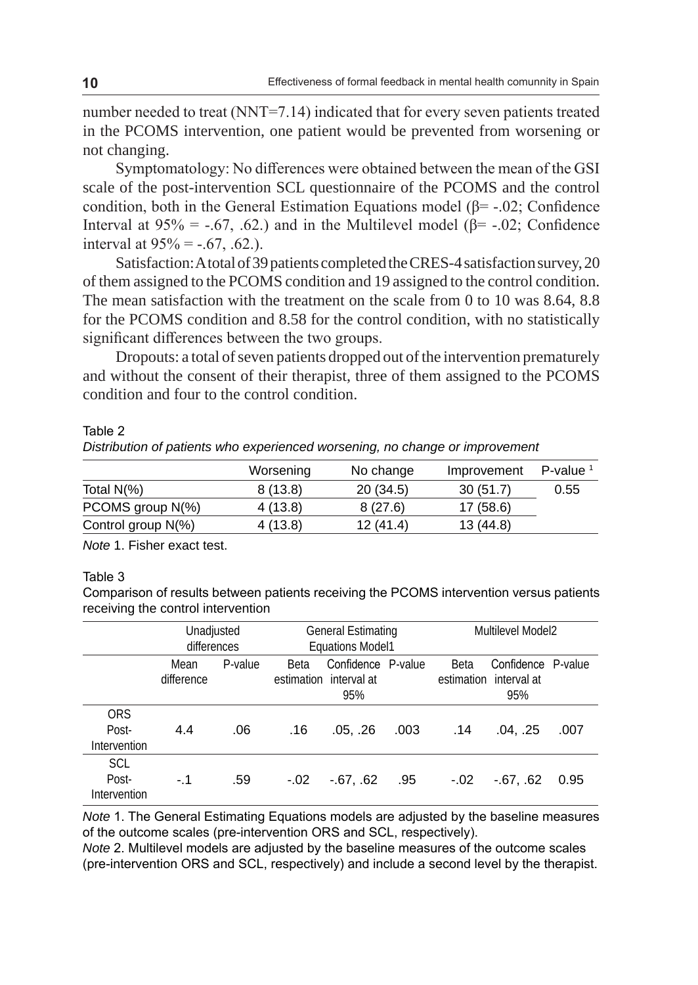number needed to treat (NNT=7.14) indicated that for every seven patients treated in the PCOMS intervention, one patient would be prevented from worsening or not changing.

Symptomatology: No differences were obtained between the mean of the GSI scale of the post-intervention SCL questionnaire of the PCOMS and the control condition, both in the General Estimation Equations model ( $\beta$ = -.02; Confidence Interval at  $95\% = -.67, .62$ .) and in the Multilevel model ( $\beta$ = -.02; Confidence interval at  $95\% = -.67, .62$ .

Satisfaction: A total of 39 patients completed the CRES-4 satisfaction survey, 20 of them assigned to the PCOMS condition and 19 assigned to the control condition. The mean satisfaction with the treatment on the scale from 0 to 10 was 8.64, 8.8 for the PCOMS condition and 8.58 for the control condition, with no statistically significant differences between the two groups.

Dropouts: a total of seven patients dropped out of the intervention prematurely and without the consent of their therapist, three of them assigned to the PCOMS condition and four to the control condition.

## Table 2

|  | Distribution of patients who experienced worsening, no change or improvement |  |  |
|--|------------------------------------------------------------------------------|--|--|
|  |                                                                              |  |  |
|  |                                                                              |  |  |

|                    | Worsening | No change | Improvement | $P$ -value $1$ |
|--------------------|-----------|-----------|-------------|----------------|
| Total $N\%$ )      | 8(13.8)   | 20 (34.5) | 30(51.7)    | 0.55           |
| PCOMS group N(%)   | 4 (13.8)  | 8(27.6)   | 17 (58.6)   |                |
| Control group N(%) | 4 (13.8)  | 12(41.4)  | 13 (44.8)   |                |

*Note* 1. Fisher exact test.

## Table 3

Comparison of results between patients receiving the PCOMS intervention versus patients receiving the control intervention

|                                     | Unadjusted<br>differences |         |        | General Estimating<br><b>Equations Model1</b>       |      |             | Multilevel Model2                                   |      |  |
|-------------------------------------|---------------------------|---------|--------|-----------------------------------------------------|------|-------------|-----------------------------------------------------|------|--|
|                                     | Mean<br>difference        | P-value | Beta   | Confidence P-value<br>estimation interval at<br>95% |      | <b>Beta</b> | Confidence P-value<br>estimation interval at<br>95% |      |  |
| <b>ORS</b><br>Post-<br>Intervention | 4.4                       | .06     | .16    | .05, .26                                            | .003 | .14         | .04. .25                                            | .007 |  |
| <b>SCL</b><br>Post-<br>Intervention | $-1$                      | .59     | $-.02$ | $-67.062$                                           | .95  | $-.02$      | $-67.62$                                            | 0.95 |  |

*Note* 1. The General Estimating Equations models are adjusted by the baseline measures of the outcome scales (pre-intervention ORS and SCL, respectively).

*Note* 2. Multilevel models are adjusted by the baseline measures of the outcome scales (pre-intervention ORS and SCL, respectively) and include a second level by the therapist.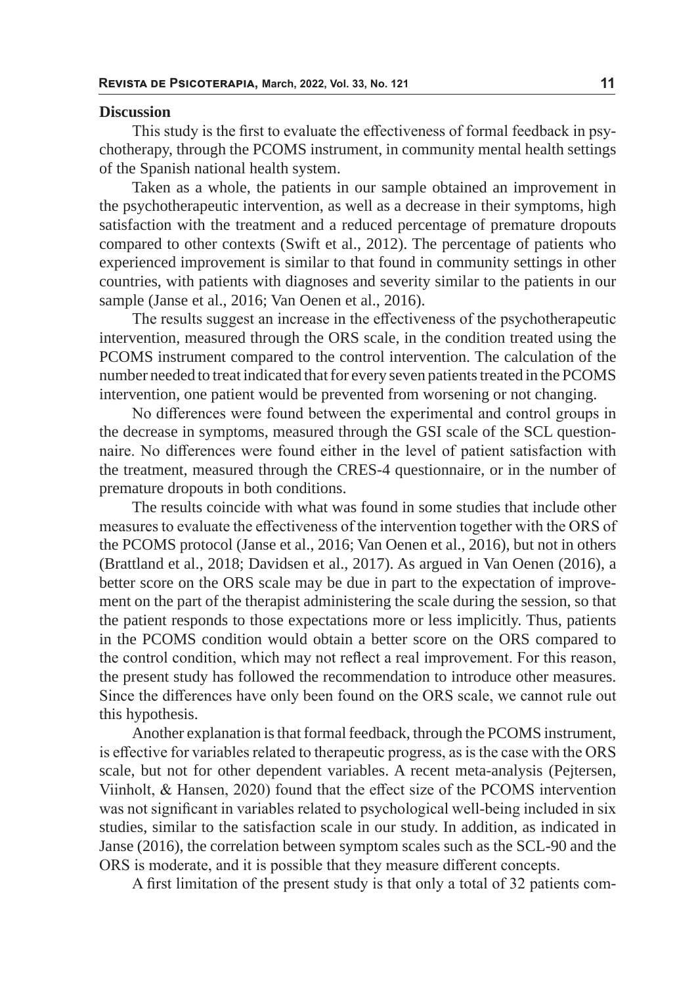#### **Discussion**

This study is the first to evaluate the effectiveness of formal feedback in psychotherapy, through the PCOMS instrument, in community mental health settings of the Spanish national health system.

Taken as a whole, the patients in our sample obtained an improvement in the psychotherapeutic intervention, as well as a decrease in their symptoms, high satisfaction with the treatment and a reduced percentage of premature dropouts compared to other contexts (Swift et al., 2012). The percentage of patients who experienced improvement is similar to that found in community settings in other countries, with patients with diagnoses and severity similar to the patients in our sample (Janse et al., 2016; Van Oenen et al., 2016).

The results suggest an increase in the effectiveness of the psychotherapeutic intervention, measured through the ORS scale, in the condition treated using the PCOMS instrument compared to the control intervention. The calculation of the number needed to treat indicated that for every seven patients treated in the PCOMS intervention, one patient would be prevented from worsening or not changing.

No differences were found between the experimental and control groups in the decrease in symptoms, measured through the GSI scale of the SCL questionnaire. No differences were found either in the level of patient satisfaction with the treatment, measured through the CRES-4 questionnaire, or in the number of premature dropouts in both conditions.

The results coincide with what was found in some studies that include other measures to evaluate the effectiveness of the intervention together with the ORS of the PCOMS protocol (Janse et al., 2016; Van Oenen et al., 2016), but not in others (Brattland et al., 2018; Davidsen et al., 2017). As argued in Van Oenen (2016), a better score on the ORS scale may be due in part to the expectation of improvement on the part of the therapist administering the scale during the session, so that the patient responds to those expectations more or less implicitly. Thus, patients in the PCOMS condition would obtain a better score on the ORS compared to the control condition, which may not reflect a real improvement. For this reason, the present study has followed the recommendation to introduce other measures. Since the differences have only been found on the ORS scale, we cannot rule out this hypothesis.

Another explanation is that formal feedback, through the PCOMS instrument, is effective for variables related to therapeutic progress, as is the case with the ORS scale, but not for other dependent variables. A recent meta-analysis (Pejtersen, Viinholt, & Hansen, 2020) found that the effect size of the PCOMS intervention was not significant in variables related to psychological well-being included in six studies, similar to the satisfaction scale in our study. In addition, as indicated in Janse (2016), the correlation between symptom scales such as the SCL-90 and the ORS is moderate, and it is possible that they measure different concepts.

A first limitation of the present study is that only a total of 32 patients com-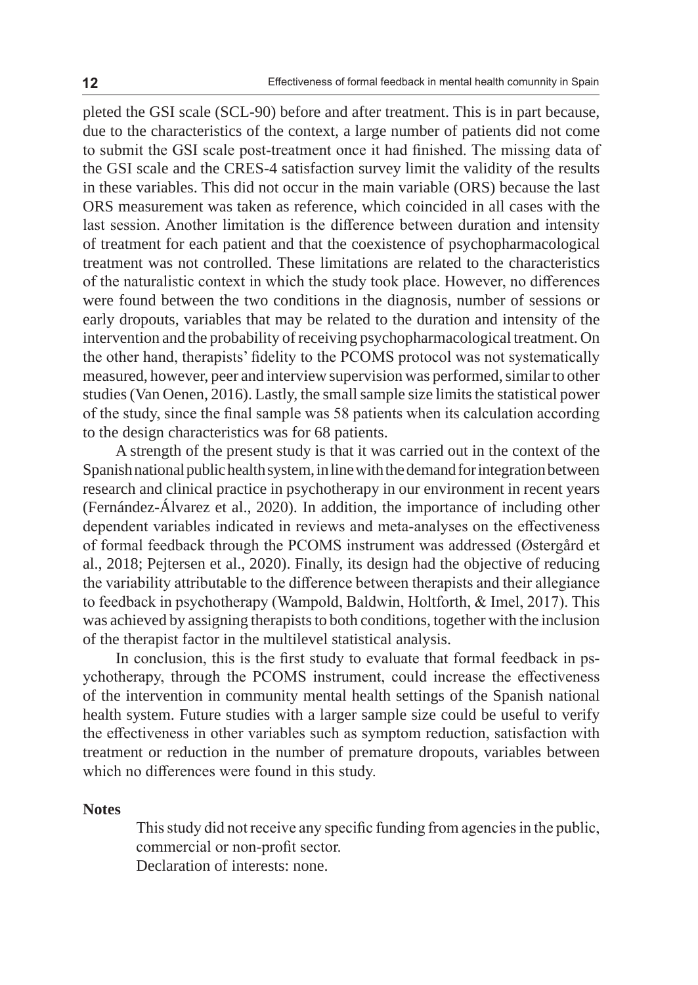pleted the GSI scale (SCL-90) before and after treatment. This is in part because, due to the characteristics of the context, a large number of patients did not come to submit the GSI scale post-treatment once it had finished. The missing data of the GSI scale and the CRES-4 satisfaction survey limit the validity of the results in these variables. This did not occur in the main variable (ORS) because the last ORS measurement was taken as reference, which coincided in all cases with the last session. Another limitation is the difference between duration and intensity of treatment for each patient and that the coexistence of psychopharmacological treatment was not controlled. These limitations are related to the characteristics of the naturalistic context in which the study took place. However, no differences were found between the two conditions in the diagnosis, number of sessions or early dropouts, variables that may be related to the duration and intensity of the intervention and the probability of receiving psychopharmacological treatment. On the other hand, therapists' fidelity to the PCOMS protocol was not systematically measured, however, peer and interview supervision was performed, similar to other studies (Van Oenen, 2016). Lastly, the small sample size limits the statistical power of the study, since the final sample was 58 patients when its calculation according to the design characteristics was for 68 patients.

A strength of the present study is that it was carried out in the context of the Spanish national public health system, in line with the demand for integration between research and clinical practice in psychotherapy in our environment in recent years (Fernández-Álvarez et al., 2020). In addition, the importance of including other dependent variables indicated in reviews and meta-analyses on the effectiveness of formal feedback through the PCOMS instrument was addressed (Østergård et al., 2018; Pejtersen et al., 2020). Finally, its design had the objective of reducing the variability attributable to the difference between therapists and their allegiance to feedback in psychotherapy (Wampold, Baldwin, Holtforth, & Imel, 2017). This was achieved by assigning therapists to both conditions, together with the inclusion of the therapist factor in the multilevel statistical analysis.

In conclusion, this is the first study to evaluate that formal feedback in psychotherapy, through the PCOMS instrument, could increase the effectiveness of the intervention in community mental health settings of the Spanish national health system. Future studies with a larger sample size could be useful to verify the effectiveness in other variables such as symptom reduction, satisfaction with treatment or reduction in the number of premature dropouts, variables between which no differences were found in this study.

#### **Notes**

This study did not receive any specific funding from agencies in the public, commercial or non-profit sector. Declaration of interests: none.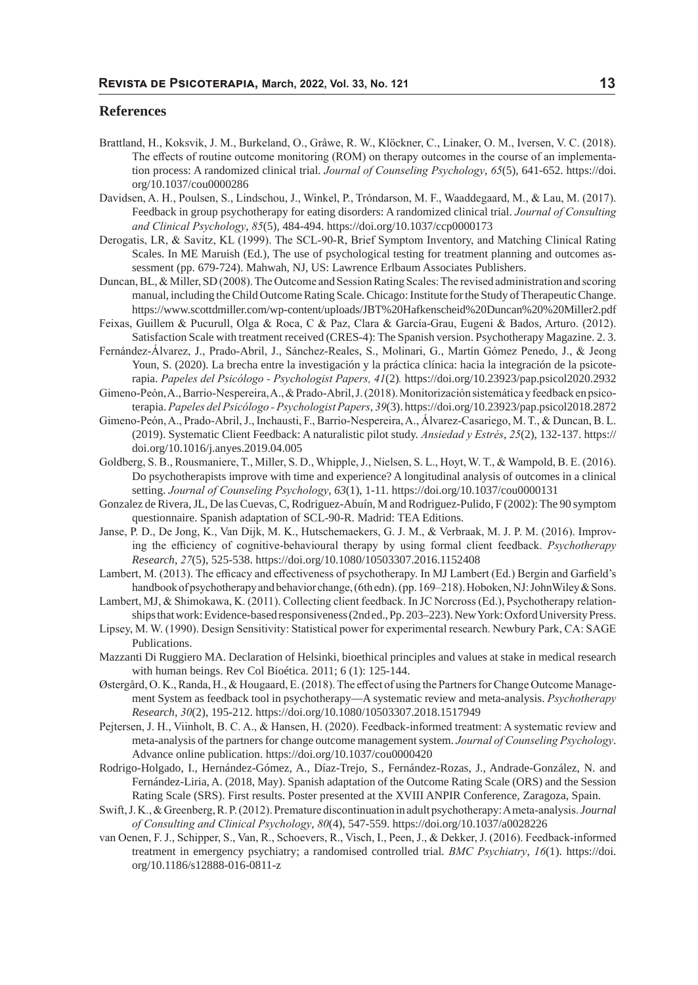#### **References**

- Brattland, H., Koksvik, J. M., Burkeland, O., Gråwe, R. W., Klöckner, C., Linaker, O. M., Iversen, V. C. (2018). The effects of routine outcome monitoring (ROM) on therapy outcomes in the course of an implementation process: A randomized clinical trial. *Journal of Counseling Psychology*, *65*(5), 641-652. https://doi. org/10.1037/cou0000286
- Davidsen, A. H., Poulsen, S., Lindschou, J., Winkel, P., Tróndarson, M. F., Waaddegaard, M., & Lau, M. (2017). Feedback in group psychotherapy for eating disorders: A randomized clinical trial. *Journal of Consulting and Clinical Psychology*, *85*(5), 484-494. https://doi.org/10.1037/ccp0000173
- Derogatis, LR, & Savitz, KL (1999). The SCL-90-R, Brief Symptom Inventory, and Matching Clinical Rating Scales. In ME Maruish (Ed.), The use of psychological testing for treatment planning and outcomes assessment (pp. 679-724). Mahwah, NJ, US: Lawrence Erlbaum Associates Publishers.
- Duncan, BL, & Miller, SD (2008). The Outcome and Session Rating Scales: The revised administration and scoring manual, including the Child Outcome Rating Scale. Chicago: Institute for the Study of Therapeutic Change. https://www.scottdmiller.com/wp-content/uploads/JBT%20Hafkenscheid%20Duncan%20%20Miller2.pdf
- Feixas, Guillem & Pucurull, Olga & Roca, C & Paz, Clara & García-Grau, Eugeni & Bados, Arturo. (2012). Satisfaction Scale with treatment received (CRES-4): The Spanish version. Psychotherapy Magazine. 2. 3.
- Fernández-Álvarez, J., Prado-Abril, J., Sánchez-Reales, S., Molinari, G., Martín Gómez Penedo, J., & Jeong Youn, S. (2020). La brecha entre la investigación y la práctica clínica: hacia la integración de la psicoterapia. *Papeles del Psicólogo - Psychologist Papers, 41*(2)*.* https://doi.org/10.23923/pap.psicol2020.2932
- Gimeno-Peón, A., Barrio-Nespereira, A., & Prado-Abril, J. (2018). Monitorización sistemática y feedback en psicoterapia. *Papeles del Psicólogo - Psychologist Papers*, *39*(3). https://doi.org/10.23923/pap.psicol2018.2872
- Gimeno-Peón, A., Prado-Abril, J., Inchausti, F., Barrio-Nespereira, A., Álvarez-Casariego, M. T., & Duncan, B. L. (2019). Systematic Client Feedback: A naturalistic pilot study. *Ansiedad y Estrés*, *25*(2), 132-137. https:// doi.org/10.1016/j.anyes.2019.04.005
- Goldberg, S. B., Rousmaniere, T., Miller, S. D., Whipple, J., Nielsen, S. L., Hoyt, W. T., & Wampold, B. E. (2016). Do psychotherapists improve with time and experience? A longitudinal analysis of outcomes in a clinical setting. *Journal of Counseling Psychology*, *63*(1), 1-11. https://doi.org/10.1037/cou0000131
- Gonzalez de Rivera, JL, De las Cuevas, C, Rodriguez-Abuín, M and Rodriguez-Pulido, F (2002): The 90 symptom questionnaire. Spanish adaptation of SCL-90-R. Madrid: TEA Editions.
- Janse, P. D., De Jong, K., Van Dijk, M. K., Hutschemaekers, G. J. M., & Verbraak, M. J. P. M. (2016). Improving the efficiency of cognitive-behavioural therapy by using formal client feedback. *Psychotherapy Research*, *27*(5), 525-538. https://doi.org/10.1080/10503307.2016.1152408
- Lambert, M. (2013). The efficacy and effectiveness of psychotherapy. In MJ Lambert (Ed.) Bergin and Garfield's handbook of psychotherapy and behavior change, (6th edn). (pp. 169–218). Hoboken, NJ: JohnWiley & Sons.
- Lambert, MJ, & Shimokawa, K. (2011). Collecting client feedback. In JC Norcross (Ed.), Psychotherapy relationships that work: Evidence-based responsiveness (2nd ed., Pp. 203–223). New York: Oxford University Press.
- Lipsey, M. W. (1990). Design Sensitivity: Statistical power for experimental research. Newbury Park, CA: SAGE Publications.
- Mazzanti Di Ruggiero MA. Declaration of Helsinki, bioethical principles and values at stake in medical research with human beings. Rev Col Bioética. 2011; 6 (1): 125-144.
- Østergård, O. K., Randa, H., & Hougaard, E. (2018). The effect of using the Partners for Change Outcome Management System as feedback tool in psychotherapy—A systematic review and meta-analysis. *Psychotherapy Research*, *30*(2), 195-212. https://doi.org/10.1080/10503307.2018.1517949
- Pejtersen, J. H., Viinholt, B. C. A., & Hansen, H. (2020). Feedback-informed treatment: A systematic review and meta-analysis of the partners for change outcome management system. *Journal of Counseling Psychology*. Advance online publication. https://doi.org/10.1037/cou0000420
- Rodrigo-Holgado, I., Hernández-Gómez, A., Díaz-Trejo, S., Fernández-Rozas, J., Andrade-González, N. and Fernández-Liria, A. (2018, May). Spanish adaptation of the Outcome Rating Scale (ORS) and the Session Rating Scale (SRS). First results. Poster presented at the XVIII ANPIR Conference, Zaragoza, Spain.
- Swift, J. K., & Greenberg, R. P. (2012). Premature discontinuation in adult psychotherapy: A meta-analysis. *Journal of Consulting and Clinical Psychology*, *80*(4), 547-559. https://doi.org/10.1037/a0028226
- van Oenen, F. J., Schipper, S., Van, R., Schoevers, R., Visch, I., Peen, J., & Dekker, J. (2016). Feedback-informed treatment in emergency psychiatry; a randomised controlled trial. *BMC Psychiatry*, *16*(1). https://doi. org/10.1186/s12888-016-0811-z